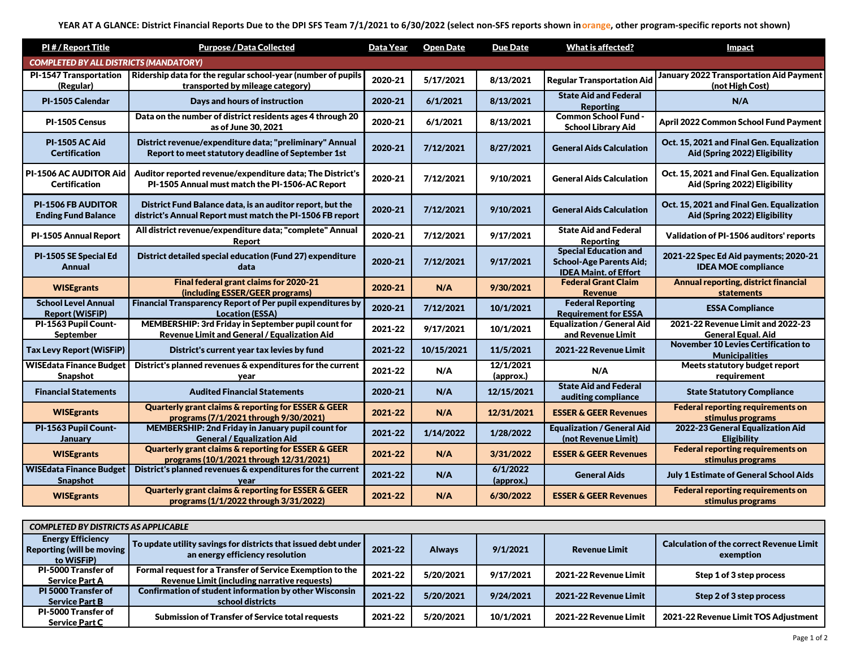| PI#/Report Title                                        | <b>Purpose / Data Collected</b>                                                                                        | Data Year | <b>Open Date</b> | <b>Due Date</b>        | <b>What is affected?</b>                                                                       | <b>Impact</b>                                                              |  |
|---------------------------------------------------------|------------------------------------------------------------------------------------------------------------------------|-----------|------------------|------------------------|------------------------------------------------------------------------------------------------|----------------------------------------------------------------------------|--|
| <b>COMPLETED BY ALL DISTRICTS (MANDATORY)</b>           |                                                                                                                        |           |                  |                        |                                                                                                |                                                                            |  |
| PI-1547 Transportation<br>(Regular)                     | Ridership data for the regular school-year (number of pupils<br>transported by mileage category)                       | 2020-21   | 5/17/2021        | 8/13/2021              | <b>Regular Transportation Aid</b>                                                              | <b>January 2022 Transportation Aid Payment</b><br>(not High Cost)          |  |
| PI-1505 Calendar                                        | Days and hours of instruction                                                                                          | 2020-21   | 6/1/2021         | 8/13/2021              | <b>State Aid and Federal</b><br><b>Reporting</b>                                               | N/A                                                                        |  |
| PI-1505 Census                                          | Data on the number of district residents ages 4 through 20<br>as of June 30, 2021                                      | 2020-21   | 6/1/2021         | 8/13/2021              | <b>Common School Fund -</b><br><b>School Library Aid</b>                                       | April 2022 Common School Fund Payment                                      |  |
| <b>PI-1505 AC Aid</b><br><b>Certification</b>           | District revenue/expenditure data; "preliminary" Annual<br>Report to meet statutory deadline of September 1st          | 2020-21   | 7/12/2021        | 8/27/2021              | <b>General Aids Calculation</b>                                                                | Oct. 15, 2021 and Final Gen. Equalization<br>Aid (Spring 2022) Eligibility |  |
| PI-1506 AC AUDITOR Aid<br><b>Certification</b>          | Auditor reported revenue/expenditure data; The District's<br>PI-1505 Annual must match the PI-1506-AC Report           | 2020-21   | 7/12/2021        | 9/10/2021              | <b>General Aids Calculation</b>                                                                | Oct. 15, 2021 and Final Gen. Equalization<br>Aid (Spring 2022) Eligibility |  |
| <b>PI-1506 FB AUDITOR</b><br><b>Ending Fund Balance</b> | District Fund Balance data, is an auditor report, but the<br>district's Annual Report must match the PI-1506 FB report | 2020-21   | 7/12/2021        | 9/10/2021              | <b>General Aids Calculation</b>                                                                | Oct. 15, 2021 and Final Gen. Equalization<br>Aid (Spring 2022) Eligibility |  |
| PI-1505 Annual Report                                   | All district revenue/expenditure data; "complete" Annual<br>Report                                                     | 2020-21   | 7/12/2021        | 9/17/2021              | <b>State Aid and Federal</b><br><b>Reporting</b>                                               | <b>Validation of PI-1506 auditors' reports</b>                             |  |
| PI-1505 SE Special Ed<br>Annual                         | District detailed special education (Fund 27) expenditure<br>data                                                      | 2020-21   | 7/12/2021        | 9/17/2021              | <b>Special Education and</b><br><b>School-Age Parents Aid;</b><br><b>IDEA Maint. of Effort</b> | 2021-22 Spec Ed Aid payments; 2020-21<br><b>IDEA MOE compliance</b>        |  |
| <b>WISEgrants</b>                                       | Final federal grant claims for 2020-21<br>(including ESSER/GEER programs)                                              | 2020-21   | N/A              | 9/30/2021              | <b>Federal Grant Claim</b><br><b>Revenue</b>                                                   | <b>Annual reporting, district financial</b><br>statements                  |  |
| <b>School Level Annual</b><br><b>Report (WiSFiP)</b>    | Financial Transparency Report of Per pupil expenditures by<br><b>Location (ESSA)</b>                                   | 2020-21   | 7/12/2021        | 10/1/2021              | <b>Federal Reporting</b><br><b>Requirement for ESSA</b>                                        | <b>ESSA Compliance</b>                                                     |  |
| PI-1563 Pupil Count-<br><b>September</b>                | MEMBERSHIP: 3rd Friday in September pupil count for<br><b>Revenue Limit and General / Equalization Aid</b>             | 2021-22   | 9/17/2021        | 10/1/2021              | <b>Equalization / General Aid</b><br>and Revenue Limit                                         | 2021-22 Revenue Limit and 2022-23<br><b>General Equal, Aid</b>             |  |
| Tax Levy Report (WiSFiP)                                | District's current year tax levies by fund                                                                             | 2021-22   | 10/15/2021       | 11/5/2021              | 2021-22 Revenue Limit                                                                          | <b>November 10 Levies Certification to</b><br><b>Municipalities</b>        |  |
| <b>WISEdata Finance Budget</b><br>Snapshot              | District's planned revenues & expenditures for the current<br>year                                                     | 2021-22   | N/A              | 12/1/2021<br>(approx.) | N/A                                                                                            | Meets statutory budget report<br>requirement                               |  |
| <b>Financial Statements</b>                             | <b>Audited Financial Statements</b>                                                                                    | 2020-21   | N/A              | 12/15/2021             | <b>State Aid and Federal</b><br>auditing compliance                                            | <b>State Statutory Compliance</b>                                          |  |
| <b>WISEgrants</b>                                       | <b>Quarterly grant claims &amp; reporting for ESSER &amp; GEER</b><br>programs (7/1/2021 through 9/30/2021)            | 2021-22   | N/A              | 12/31/2021             | <b>ESSER &amp; GEER Revenues</b>                                                               | <b>Federal reporting requirements on</b><br>stimulus programs              |  |
| PI-1563 Pupil Count-<br><b>January</b>                  | MEMBERSHIP: 2nd Friday in January pupil count for<br><b>General / Equalization Aid</b>                                 | 2021-22   | 1/14/2022        | 1/28/2022              | <b>Equalization / General Aid</b><br>(not Revenue Limit)                                       | 2022-23 General Equalization Aid<br><b>Eligibility</b>                     |  |
| <b>WISEgrants</b>                                       | <b>Quarterly grant claims &amp; reporting for ESSER &amp; GEER</b><br>programs (10/1/2021 through 12/31/2021)          | 2021-22   | N/A              | 3/31/2022              | <b>ESSER &amp; GEER Revenues</b>                                                               | <b>Federal reporting requirements on</b><br>stimulus programs              |  |
| <b>WISE data Finance Budget</b><br><b>Snapshot</b>      | District's planned revenues & expenditures for the current<br>year                                                     | 2021-22   | N/A              | 6/1/2022<br>(approx.)  | <b>General Aids</b>                                                                            | <b>July 1 Estimate of General School Aids</b>                              |  |
| <b>WISEgrants</b>                                       | <b>Quarterly grant claims &amp; reporting for ESSER &amp; GEER</b><br>programs (1/1/2022 through 3/31/2022)            | 2021-22   | N/A              | 6/30/2022              | <b>ESSER &amp; GEER Revenues</b>                                                               | <b>Federal reporting requirements on</b><br>stimulus programs              |  |

| <b>COMPLETED BY DISTRICTS AS APPLICABLE</b>                         |                                                                                                                   |         |               |           |                       |                                                              |
|---------------------------------------------------------------------|-------------------------------------------------------------------------------------------------------------------|---------|---------------|-----------|-----------------------|--------------------------------------------------------------|
| <b>Energy Efficiency</b><br>Reporting (will be moving<br>to WiSFiP) | $\sf I$ To update utility savings for districts that issued debt under $\sf I$<br>an energy efficiency resolution | 2021-22 | <b>Always</b> | 9/1/2021  | <b>Revenue Limit</b>  | <b>Calculation of the correct Revenue Limit</b><br>exemption |
| <b>PI-5000 Transfer of</b><br><b>Service Part A</b>                 | Formal request for a Transfer of Service Exemption to the<br>Revenue Limit (including narrative requests)         | 2021-22 | 5/20/2021     | 9/17/2021 | 2021-22 Revenue Limit | Step 1 of 3 step process                                     |
| PI 5000 Transfer of<br><b>Service Part B</b>                        | <b>Confirmation of student information by other Wisconsin</b><br>school districts                                 | 2021-22 | 5/20/2021     | 9/24/2021 | 2021-22 Revenue Limit | Step 2 of 3 step process                                     |
| <b>PI-5000 Transfer of</b><br><b>Service Part C</b>                 | <b>Submission of Transfer of Service total requests</b>                                                           | 2021-22 | 5/20/2021     | 10/1/2021 | 2021-22 Revenue Limit | 2021-22 Revenue Limit TOS Adjustment                         |